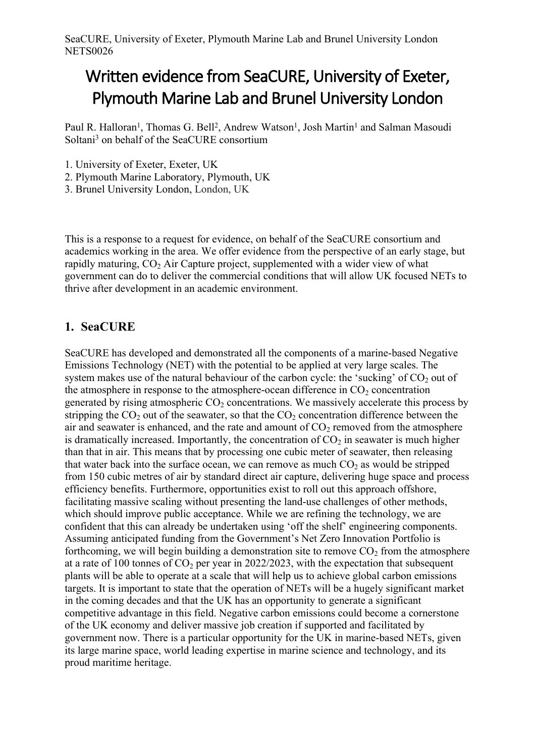# **Written evidence from SeaCURE, University of Exeter, Plymouth Marine Lab and Brunel University London**

Paul R. Halloran<sup>1</sup>, Thomas G. Bell<sup>2</sup>, Andrew Watson<sup>1</sup>, Josh Martin<sup>1</sup> and Salman Masoudi Soltani<sup>3</sup> on behalf of the SeaCURE consortium

- 1. University of Exeter, Exeter, UK
- 2. Plymouth Marine Laboratory, Plymouth, UK
- 3. Brunel University London, London, UK

This is a response to a request for evidence, on behalf of the SeaCURE consortium and academics working in the area. We offer evidence from the perspective of an early stage, but rapidly maturing,  $CO<sub>2</sub>$  Air Capture project, supplemented with a wider view of what government can do to deliver the commercial conditions that will allow UK focused NETs to thrive after development in an academic environment.

#### **1. SeaCURE**

SeaCURE has developed and demonstrated all the components of a marine-based Negative Emissions Technology (NET) with the potential to be applied at very large scales. The system makes use of the natural behaviour of the carbon cycle: the 'sucking' of  $CO<sub>2</sub>$  out of the atmosphere in response to the atmosphere-ocean difference in  $CO<sub>2</sub>$  concentration generated by rising atmospheric  $CO<sub>2</sub>$  concentrations. We massively accelerate this process by stripping the  $CO<sub>2</sub>$  out of the seawater, so that the  $CO<sub>2</sub>$  concentration difference between the air and seawater is enhanced, and the rate and amount of  $CO<sub>2</sub>$  removed from the atmosphere is dramatically increased. Importantly, the concentration of  $CO<sub>2</sub>$  in seawater is much higher than that in air. This means that by processing one cubic meter of seawater, then releasing that water back into the surface ocean, we can remove as much  $CO<sub>2</sub>$  as would be stripped from 150 cubic metres of air by standard direct air capture, delivering huge space and process efficiency benefits. Furthermore, opportunities exist to roll out this approach offshore, facilitating massive scaling without presenting the land-use challenges of other methods, which should improve public acceptance. While we are refining the technology, we are confident that this can already be undertaken using 'off the shelf' engineering components. Assuming anticipated funding from the Government's Net Zero Innovation Portfolio is forthcoming, we will begin building a demonstration site to remove  $CO<sub>2</sub>$  from the atmosphere at a rate of 100 tonnes of  $CO<sub>2</sub>$  per year in 2022/2023, with the expectation that subsequent plants will be able to operate at a scale that will help us to achieve global carbon emissions targets. It is important to state that the operation of NETs will be a hugely significant market in the coming decades and that the UK has an opportunity to generate a significant competitive advantage in this field. Negative carbon emissions could become a cornerstone of the UK economy and deliver massive job creation if supported and facilitated by government now. There is a particular opportunity for the UK in marine-based NETs, given its large marine space, world leading expertise in marine science and technology, and its proud maritime heritage.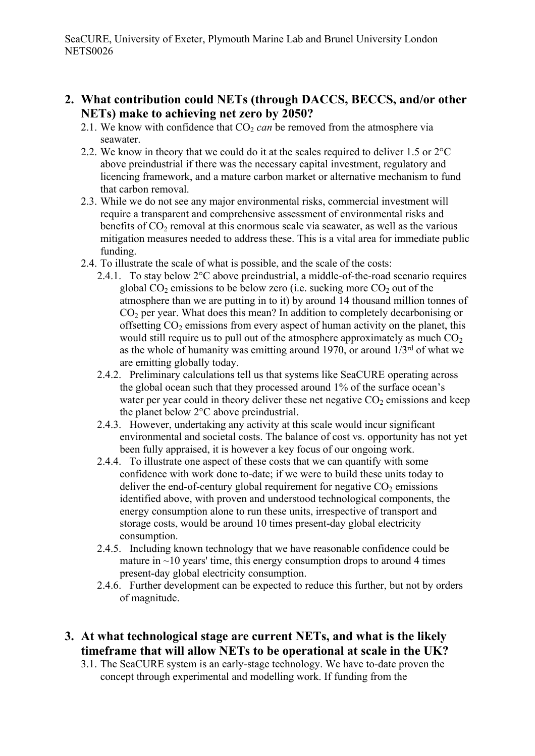- **2. What contribution could NETs (through DACCS, BECCS, and/or other NETs) make to achieving net zero by 2050?**
	- 2.1. We know with confidence that  $CO<sub>2</sub>$  *can* be removed from the atmosphere via seawater.
	- 2.2. We know in theory that we could do it at the scales required to deliver 1.5 or 2°C above preindustrial if there was the necessary capital investment, regulatory and licencing framework, and a mature carbon market or alternative mechanism to fund that carbon removal.
	- 2.3. While we do not see any major environmental risks, commercial investment will require a transparent and comprehensive assessment of environmental risks and benefits of  $CO<sub>2</sub>$  removal at this enormous scale via seawater, as well as the various mitigation measures needed to address these. This is a vital area for immediate public funding.
	- 2.4. To illustrate the scale of what is possible, and the scale of the costs:
		- 2.4.1. To stay below 2°C above preindustrial, a middle-of-the-road scenario requires global  $CO<sub>2</sub>$  emissions to be below zero (i.e. sucking more  $CO<sub>2</sub>$  out of the atmosphere than we are putting in to it) by around 14 thousand million tonnes of  $CO<sub>2</sub>$  per year. What does this mean? In addition to completely decarbonising or offsetting  $CO<sub>2</sub>$  emissions from every aspect of human activity on the planet, this would still require us to pull out of the atmosphere approximately as much  $CO<sub>2</sub>$ as the whole of humanity was emitting around 1970, or around  $1/3^{rd}$  of what we are emitting globally today.
		- 2.4.2. Preliminary calculations tell us that systems like SeaCURE operating across the global ocean such that they processed around 1% of the surface ocean's water per year could in theory deliver these net negative  $CO<sub>2</sub>$  emissions and keep the planet below 2°C above preindustrial.
		- 2.4.3. However, undertaking any activity at this scale would incur significant environmental and societal costs. The balance of cost vs. opportunity has not yet been fully appraised, it is however a key focus of our ongoing work.
		- 2.4.4. To illustrate one aspect of these costs that we can quantify with some confidence with work done to-date; if we were to build these units today to deliver the end-of-century global requirement for negative  $CO<sub>2</sub>$  emissions identified above, with proven and understood technological components, the energy consumption alone to run these units, irrespective of transport and storage costs, would be around 10 times present-day global electricity consumption.
		- 2.4.5. Including known technology that we have reasonable confidence could be mature in  $\sim$ 10 years' time, this energy consumption drops to around 4 times present-day global electricity consumption.
		- 2.4.6. Further development can be expected to reduce this further, but not by orders of magnitude.
- **3. At what technological stage are current NETs, and what is the likely timeframe that will allow NETs to be operational at scale in the UK?**
	- 3.1. The SeaCURE system is an early-stage technology. We have to-date proven the concept through experimental and modelling work. If funding from the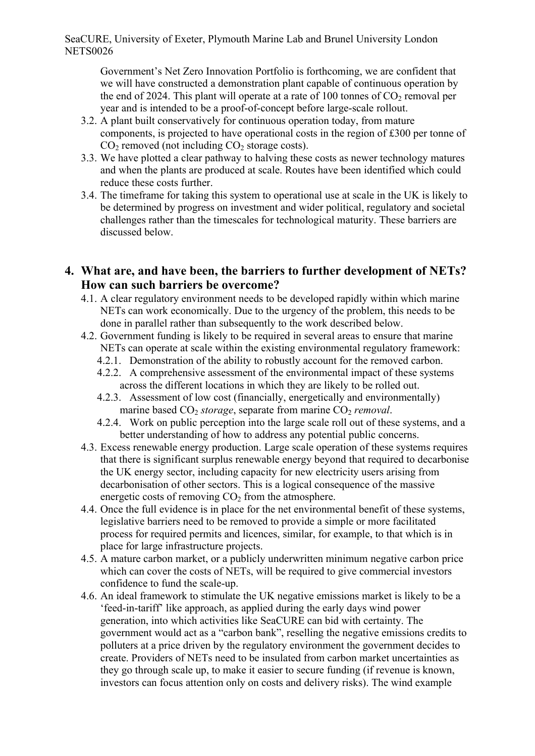Government's Net Zero Innovation Portfolio is forthcoming, we are confident that we will have constructed a demonstration plant capable of continuous operation by the end of 2024. This plant will operate at a rate of 100 tonnes of  $CO<sub>2</sub>$  removal per year and is intended to be a proof-of-concept before large-scale rollout.

- 3.2. A plant built conservatively for continuous operation today, from mature components, is projected to have operational costs in the region of £300 per tonne of  $CO<sub>2</sub>$  removed (not including  $CO<sub>2</sub>$  storage costs).
- 3.3. We have plotted a clear pathway to halving these costs as newer technology matures and when the plants are produced at scale. Routes have been identified which could reduce these costs further.
- 3.4. The timeframe for taking this system to operational use at scale in the UK is likely to be determined by progress on investment and wider political, regulatory and societal challenges rather than the timescales for technological maturity. These barriers are discussed below.
- **4. What are, and have been, the barriers to further development of NETs? How can such barriers be overcome?**
	- 4.1. A clear regulatory environment needs to be developed rapidly within which marine NETs can work economically. Due to the urgency of the problem, this needs to be done in parallel rather than subsequently to the work described below.
	- 4.2. Government funding is likely to be required in several areas to ensure that marine NETs can operate at scale within the existing environmental regulatory framework:
		- 4.2.1. Demonstration of the ability to robustly account for the removed carbon.
		- 4.2.2. A comprehensive assessment of the environmental impact of these systems across the different locations in which they are likely to be rolled out.
		- 4.2.3. Assessment of low cost (financially, energetically and environmentally) marine based CO<sub>2</sub> *storage*, separate from marine CO<sub>2</sub> *removal*.
		- 4.2.4. Work on public perception into the large scale roll out of these systems, and a better understanding of how to address any potential public concerns.
	- 4.3. Excess renewable energy production. Large scale operation of these systems requires that there is significant surplus renewable energy beyond that required to decarbonise the UK energy sector, including capacity for new electricity users arising from decarbonisation of other sectors. This is a logical consequence of the massive energetic costs of removing  $CO<sub>2</sub>$  from the atmosphere.
	- 4.4. Once the full evidence is in place for the net environmental benefit of these systems, legislative barriers need to be removed to provide a simple or more facilitated process for required permits and licences, similar, for example, to that which is in place for large infrastructure projects.
	- 4.5. A mature carbon market, or a publicly underwritten minimum negative carbon price which can cover the costs of NETs, will be required to give commercial investors confidence to fund the scale-up.
	- 4.6. An ideal framework to stimulate the UK negative emissions market is likely to be a 'feed-in-tariff' like approach, as applied during the early days wind power generation, into which activities like SeaCURE can bid with certainty. The government would act as a "carbon bank", reselling the negative emissions credits to polluters at a price driven by the regulatory environment the government decides to create. Providers of NETs need to be insulated from carbon market uncertainties as they go through scale up, to make it easier to secure funding (if revenue is known, investors can focus attention only on costs and delivery risks). The wind example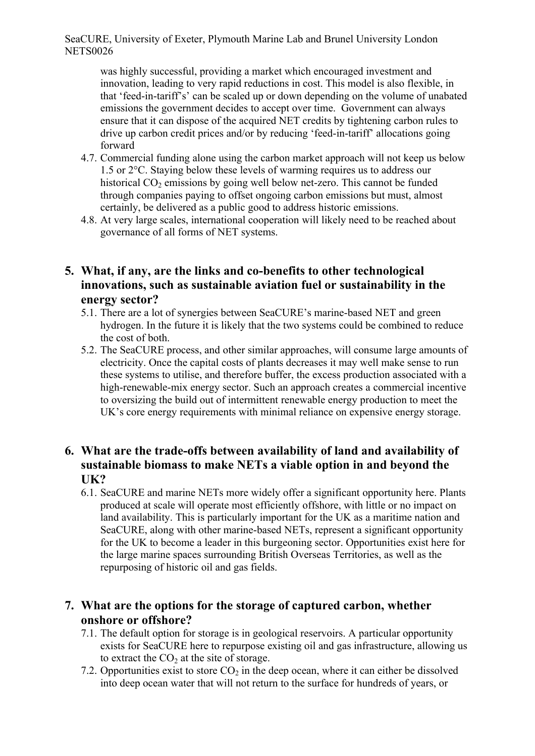was highly successful, providing a market which encouraged investment and innovation, leading to very rapid reductions in cost. This model is also flexible, in that 'feed-in-tariff's' can be scaled up or down depending on the volume of unabated emissions the government decides to accept over time. Government can always ensure that it can dispose of the acquired NET credits by tightening carbon rules to drive up carbon credit prices and/or by reducing 'feed-in-tariff' allocations going forward

- 4.7. Commercial funding alone using the carbon market approach will not keep us below 1.5 or 2°C. Staying below these levels of warming requires us to address our historical  $CO<sub>2</sub>$  emissions by going well below net-zero. This cannot be funded through companies paying to offset ongoing carbon emissions but must, almost certainly, be delivered as a public good to address historic emissions.
- 4.8. At very large scales, international cooperation will likely need to be reached about governance of all forms of NET systems.

### **5. What, if any, are the links and co-benefits to other technological innovations, such as sustainable aviation fuel or sustainability in the energy sector?**

- 5.1. There are a lot of synergies between SeaCURE's marine-based NET and green hydrogen. In the future it is likely that the two systems could be combined to reduce the cost of both.
- 5.2. The SeaCURE process, and other similar approaches, will consume large amounts of electricity. Once the capital costs of plants decreases it may well make sense to run these systems to utilise, and therefore buffer, the excess production associated with a high-renewable-mix energy sector. Such an approach creates a commercial incentive to oversizing the build out of intermittent renewable energy production to meet the UK's core energy requirements with minimal reliance on expensive energy storage.

#### **6. What are the trade-offs between availability of land and availability of sustainable biomass to make NETs a viable option in and beyond the UK?**

6.1. SeaCURE and marine NETs more widely offer a significant opportunity here. Plants produced at scale will operate most efficiently offshore, with little or no impact on land availability. This is particularly important for the UK as a maritime nation and SeaCURE, along with other marine-based NETs, represent a significant opportunity for the UK to become a leader in this burgeoning sector. Opportunities exist here for the large marine spaces surrounding British Overseas Territories, as well as the repurposing of historic oil and gas fields.

#### **7. What are the options for the storage of captured carbon, whether onshore or offshore?**

- 7.1. The default option for storage is in geological reservoirs. A particular opportunity exists for SeaCURE here to repurpose existing oil and gas infrastructure, allowing us to extract the  $CO<sub>2</sub>$  at the site of storage.
- 7.2. Opportunities exist to store  $CO<sub>2</sub>$  in the deep ocean, where it can either be dissolved into deep ocean water that will not return to the surface for hundreds of years, or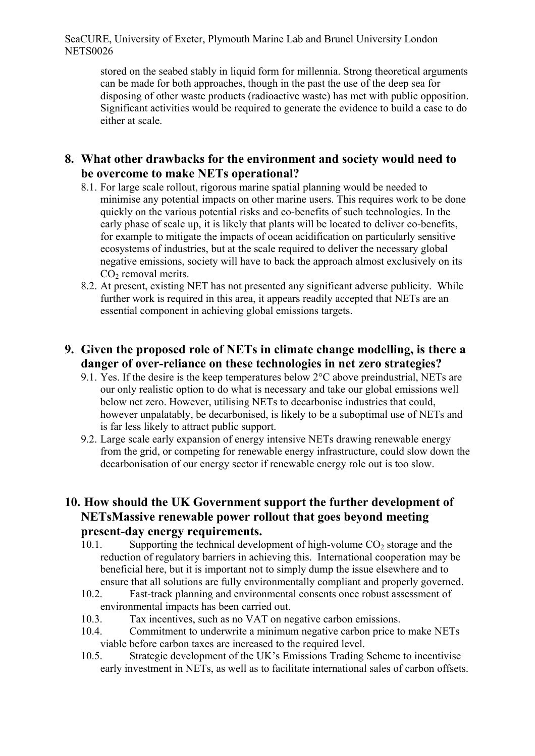stored on the seabed stably in liquid form for millennia. Strong theoretical arguments can be made for both approaches, though in the past the use of the deep sea for disposing of other waste products (radioactive waste) has met with public opposition. Significant activities would be required to generate the evidence to build a case to do either at scale.

#### **8. What other drawbacks for the environment and society would need to be overcome to make NETs operational?**

- 8.1. For large scale rollout, rigorous marine spatial planning would be needed to minimise any potential impacts on other marine users. This requires work to be done quickly on the various potential risks and co-benefits of such technologies. In the early phase of scale up, it is likely that plants will be located to deliver co-benefits, for example to mitigate the impacts of ocean acidification on particularly sensitive ecosystems of industries, but at the scale required to deliver the necessary global negative emissions, society will have to back the approach almost exclusively on its  $CO<sub>2</sub>$  removal merits.
- 8.2. At present, existing NET has not presented any significant adverse publicity. While further work is required in this area, it appears readily accepted that NETs are an essential component in achieving global emissions targets.

## **9. Given the proposed role of NETs in climate change modelling, is there a danger of over-reliance on these technologies in net zero strategies?**

- 9.1. Yes. If the desire is the keep temperatures below 2°C above preindustrial, NETs are our only realistic option to do what is necessary and take our global emissions well below net zero. However, utilising NETs to decarbonise industries that could, however unpalatably, be decarbonised, is likely to be a suboptimal use of NETs and is far less likely to attract public support.
- 9.2. Large scale early expansion of energy intensive NETs drawing renewable energy from the grid, or competing for renewable energy infrastructure, could slow down the decarbonisation of our energy sector if renewable energy role out is too slow.

#### **10. How should the UK Government support the further development of NETsMassive renewable power rollout that goes beyond meeting present-day energy requirements.**

- 10.1. Supporting the technical development of high-volume  $CO<sub>2</sub>$  storage and the reduction of regulatory barriers in achieving this. International cooperation may be beneficial here, but it is important not to simply dump the issue elsewhere and to ensure that all solutions are fully environmentally compliant and properly governed.
- 10.2. Fast-track planning and environmental consents once robust assessment of environmental impacts has been carried out.
- 10.3. Tax incentives, such as no VAT on negative carbon emissions.
- 10.4. Commitment to underwrite a minimum negative carbon price to make NETs viable before carbon taxes are increased to the required level.
- 10.5. Strategic development of the UK's Emissions Trading Scheme to incentivise early investment in NETs, as well as to facilitate international sales of carbon offsets.